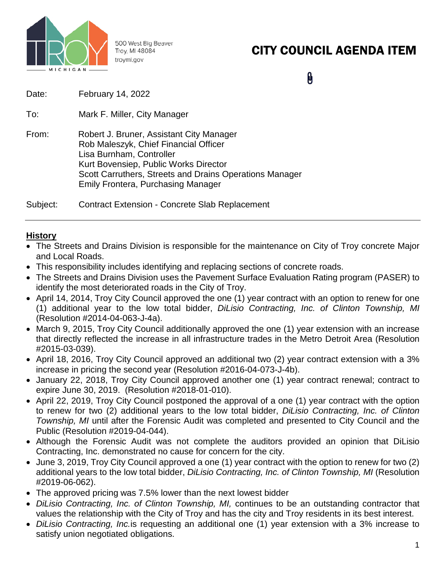

500 West Big Beaver Troy, MI 48084 troymi.gov

# CITY COUNCIL AGENDA ITEM

Û

| Date: | February 14, 2022                                                                                                                                                                                                                                              |
|-------|----------------------------------------------------------------------------------------------------------------------------------------------------------------------------------------------------------------------------------------------------------------|
| To:   | Mark F. Miller, City Manager                                                                                                                                                                                                                                   |
| From: | Robert J. Bruner, Assistant City Manager<br>Rob Maleszyk, Chief Financial Officer<br>Lisa Burnham, Controller<br>Kurt Bovensiep, Public Works Director<br>Scott Carruthers, Streets and Drains Operations Manager<br><b>Emily Frontera, Purchasing Manager</b> |
|       |                                                                                                                                                                                                                                                                |

Subject: Contract Extension - Concrete Slab Replacement

### **History**

- The Streets and Drains Division is responsible for the maintenance on City of Troy concrete Major and Local Roads.
- This responsibility includes identifying and replacing sections of concrete roads.
- The Streets and Drains Division uses the Pavement Surface Evaluation Rating program (PASER) to identify the most deteriorated roads in the City of Troy.
- April 14, 2014, Troy City Council approved the one (1) year contract with an option to renew for one (1) additional year to the low total bidder, *DiLisio Contracting, Inc. of Clinton Township, MI* (Resolution #2014-04-063-J-4a).
- March 9, 2015, Troy City Council additionally approved the one (1) year extension with an increase that directly reflected the increase in all infrastructure trades in the Metro Detroit Area (Resolution #2015-03-039).
- April 18, 2016, Troy City Council approved an additional two (2) year contract extension with a 3% increase in pricing the second year (Resolution #2016-04-073-J-4b).
- January 22, 2018, Troy City Council approved another one (1) year contract renewal; contract to expire June 30, 2019. (Resolution #2018-01-010).
- April 22, 2019, Troy City Council postponed the approval of a one (1) year contract with the option to renew for two (2) additional years to the low total bidder, *DiLisio Contracting, Inc. of Clinton Township, MI* until after the Forensic Audit was completed and presented to City Council and the Public (Resolution #2019-04-044).
- Although the Forensic Audit was not complete the auditors provided an opinion that DiLisio Contracting, Inc. demonstrated no cause for concern for the city.
- June 3, 2019, Troy City Council approved a one (1) year contract with the option to renew for two (2) additional years to the low total bidder, *DiLisio Contracting, Inc. of Clinton Township, MI* (Resolution #2019-06-062).
- The approved pricing was 7.5% lower than the next lowest bidder
- *DiLisio Contracting, Inc. of Clinton Township, MI,* continues to be an outstanding contractor that values the relationship with the City of Troy and has the city and Troy residents in its best interest.
- *DiLisio Contracting, Inc.*is requesting an additional one (1) year extension with a 3% increase to satisfy union negotiated obligations.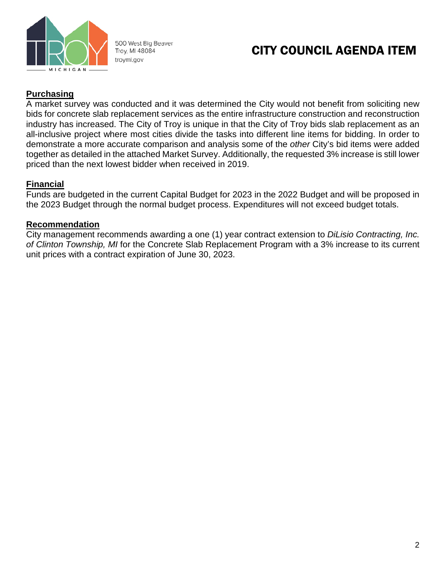

500 West Big Beaver Troy, MI 48084 troymi.gov

## CITY COUNCIL AGENDA ITEM

### **Purchasing**

A market survey was conducted and it was determined the City would not benefit from soliciting new bids for concrete slab replacement services as the entire infrastructure construction and reconstruction industry has increased. The City of Troy is unique in that the City of Troy bids slab replacement as an all-inclusive project where most cities divide the tasks into different line items for bidding. In order to demonstrate a more accurate comparison and analysis some of the *other* City's bid items were added together as detailed in the attached Market Survey. Additionally, the requested 3% increase is still lower priced than the next lowest bidder when received in 2019.

### **Financial**

Funds are budgeted in the current Capital Budget for 2023 in the 2022 Budget and will be proposed in the 2023 Budget through the normal budget process. Expenditures will not exceed budget totals.

#### **Recommendation**

City management recommends awarding a one (1) year contract extension to *DiLisio Contracting, Inc. of Clinton Township, MI* for the Concrete Slab Replacement Program with a 3% increase to its current unit prices with a contract expiration of June 30, 2023.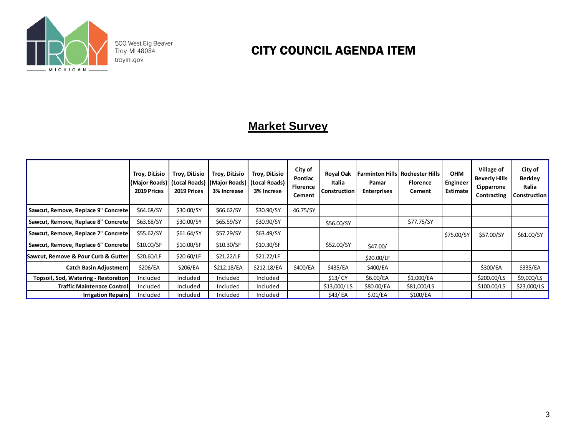

500 West Big Beaver<br>Troy, MI 48084 troymi.gov

## CITY COUNCIL AGENDA ITEM

## **Market Survey**

|                                      | Troy, DiLisio<br>2019 Prices | Troy, DiLisio<br>2019 Prices | Troy, DiLisio<br> (Major Roads)  (Local Roads)  (Major Roads) <br>3% Increase | Troy, DiLisio<br>(Local Roads)<br>3% Increse | City of<br>Pontiac<br><b>Florence</b><br>Cement | <b>Royal Oak</b><br>Italia<br><b>Construction</b> | Farminton Hills  Rochester Hills <br>Pamar<br><b>Enterprises</b> | <b>Florence</b><br>Cement | <b>OHM</b><br>Engineer<br>Estimate | Village of<br><b>Beverly Hills</b><br>Cipparrone<br>Contracting | City of<br><b>Berkley</b><br>Italia<br><b>Construction</b> |
|--------------------------------------|------------------------------|------------------------------|-------------------------------------------------------------------------------|----------------------------------------------|-------------------------------------------------|---------------------------------------------------|------------------------------------------------------------------|---------------------------|------------------------------------|-----------------------------------------------------------------|------------------------------------------------------------|
| Sawcut, Remove, Replace 9" Concrete  | \$64.68/SY                   | \$30.00/SY                   | \$66.62/SY                                                                    | \$30.90/SY                                   | 46.75/SY                                        |                                                   |                                                                  |                           |                                    |                                                                 |                                                            |
| Sawcut, Remove, Replace 8" Concrete  | \$63.68/SY                   | \$30.00/SY                   | \$65.59/SY                                                                    | \$30.90/SY                                   |                                                 | \$56.00/SY                                        |                                                                  | \$77.75/SY                |                                    |                                                                 |                                                            |
| Sawcut, Remove, Replace 7" Concrete  | \$55.62/SY                   | \$61.64/SY                   | \$57.29/SY                                                                    | \$63.49/SY                                   |                                                 |                                                   |                                                                  |                           | \$75.00/SY                         | \$57.00/SY                                                      | \$61.00/SY                                                 |
| Sawcut, Remove, Replace 6" Concrete  | \$10.00/SF                   | \$10.00/SF                   | \$10.30/SF                                                                    | \$10.30/SF                                   |                                                 | \$52.00/SY                                        | \$47.00/                                                         |                           |                                    |                                                                 |                                                            |
| Sawcut, Remove & Pour Curb & Gutter  | \$20.60/LF                   | \$20.60/LF                   | \$21.22/LF                                                                    | \$21.22/LF                                   |                                                 |                                                   | \$20.00/LF                                                       |                           |                                    |                                                                 |                                                            |
| <b>Catch Basin Adjustment</b>        | \$206/EA                     | \$206/EA                     | \$212.18/EA                                                                   | \$212.18/EA                                  | \$400/EA                                        | \$435/EA                                          | \$400/EA                                                         |                           |                                    | \$300/EA                                                        | \$335/EA                                                   |
| Topsoil, Sod, Watering - Restoration | Included                     | Included                     | Included                                                                      | Included                                     |                                                 | \$13/ CY                                          | \$6.00/EA                                                        | \$1,000/EA                |                                    | \$200.00/LS                                                     | \$9,000/LS                                                 |
| <b>Traffic Maintenace Control</b>    | Included                     | Included                     | Included                                                                      | Included                                     |                                                 | \$13,000/LS                                       | \$80.00/EA                                                       | \$81,000/LS               |                                    | \$100.00/LS                                                     | \$23,000/LS                                                |
| <b>Irrigation Repairs</b>            | Included                     | Included                     | Included                                                                      | Included                                     |                                                 | \$43/ EA                                          | \$.01/EA                                                         | \$100/EA                  |                                    |                                                                 |                                                            |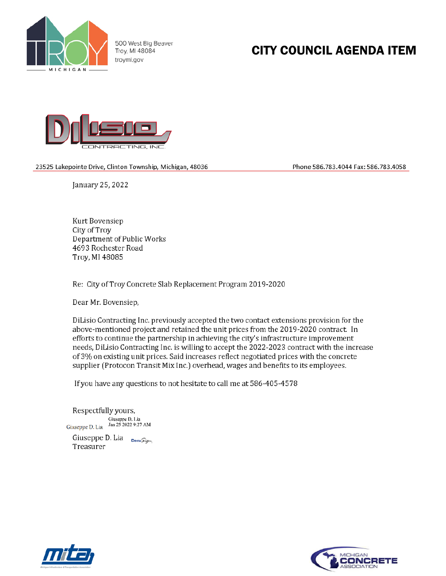

500 West Big Beaver Troy, MI 48084 troymi.gov

# **CITY COUNCIL AGENDA ITEM**



23525 Lakepointe Drive, Clinton Township, Michigan, 48036

Phone 586.783.4044 Fax: 586.783.4058

January 25, 2022

Kurt Bovensiep City of Troy Department of Public Works 4693 Rochester Road Troy, MI 48085

Re: City of Troy Concrete Slab Replacement Program 2019-2020

Dear Mr. Bovensiep,

DiLisio Contracting Inc. previously accepted the two contact extensions provision for the above-mentioned project and retained the unit prices from the 2019-2020 contract. In efforts to continue the partnership in achieving the city's infrastructure improvement needs, DiLisio Contracting Inc. is willing to accept the 2022-2023 contract with the increase of 3% on existing unit prices. Said increases reflect negotiated prices with the concrete supplier (Protocon Transit Mix Inc.) overhead, wages and benefits to its employees.

If you have any questions to not hesitate to call me at 586-405-4578

Respectfully yours, Giuseppe D. Lia<br>Jan 25 2022 9:27 AM Giuseppe D. Lia Giuseppe D. Lia DocuSign Treasurer